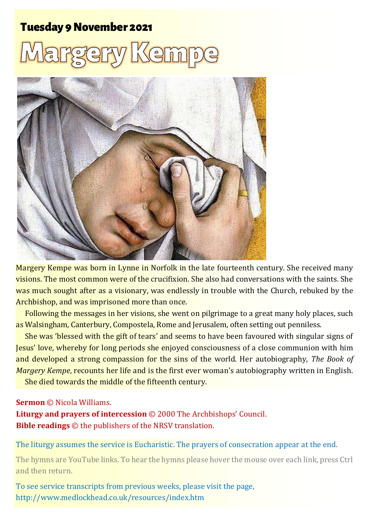### **Tuesday 9 November 2021**

# Kem



Margery Kempe was born in Lynne in Norfolk in the late fourteenth century. She received many visions. The most common were of the crucifixion. She also had conversations with the saints. She was much sought after as a visionary, was endlessly in trouble with the Church, rebuked by the Archbishop, and was imprisoned more than once.

Following the messages in her visions, she went on pilgrimage to a great many holy places, such as Walsingham, Canterbury, Compostela, Rome and Jerusalem, often setting out penniless.

She was 'blessed with the gift of tears' and seems to have been favoured with singular signs of Jesus' love, whereby for long periods she enjoyed consciousness of a close communion with him and developed a strong compassion for the sins of the world. Her autobiography, *The Book of Margery Kempe*, recounts her life and is the first ever woman's autobiography written in English. She died towards the middle of the fifteenth century.

#### **Sermon** © Nicola Williams.

**Liturgy and prayers of intercession** © 2000 The Archbishops' Council. **Bible readings** © the publishers of the NRSV translation.

The liturgy assumes the service is Eucharistic. The prayers of consecration appear at the end.

The hymns are YouTube links. To hear the hymns please hover the mouse over each link, press Ctrl and then return.

To see service transcripts from previous weeks, please visit the page, <http://www.medlockhead.co.uk/resources/index.htm>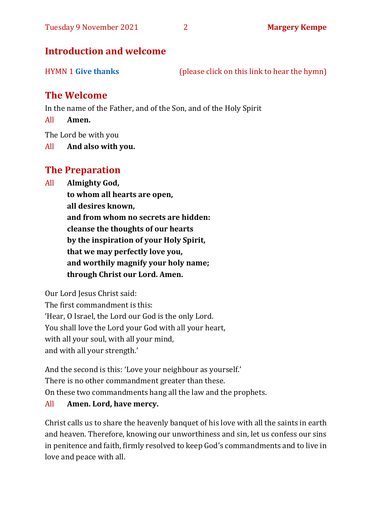#### **Introduction and welcome**

HYMN 1 **[Give thanks](https://www.youtube.com/watch?v=KMTmZKotTYw)** (please click on this link to hear the hymn)

#### **The Welcome**

In the name of the Father, and of the Son, and of the Holy Spirit

All **Amen.**

The Lord be with you

All **And also with you.**

### **The Preparation**

All **Almighty God,**

**to whom all hearts are open, all desires known, and from whom no secrets are hidden: cleanse the thoughts of our hearts by the inspiration of your Holy Spirit, that we may perfectly love you, and worthily magnify your holy name; through Christ our Lord. Amen.**

Our Lord Jesus Christ said:

The first commandment is this: 'Hear, O Israel, the Lord our God is the only Lord. You shall love the Lord your God with all your heart, with all your soul, with all your mind, and with all your strength.'

And the second is this: 'Love your neighbour as yourself.' There is no other commandment greater than these. On these two commandments hang all the law and the prophets.

#### All **Amen. Lord, have mercy.**

Christ calls us to share the heavenly banquet of his love with all the saints in earth and heaven. Therefore, knowing our unworthiness and sin, let us confess our sins in penitence and faith, firmly resolved to keep God's commandments and to live in love and peace with all.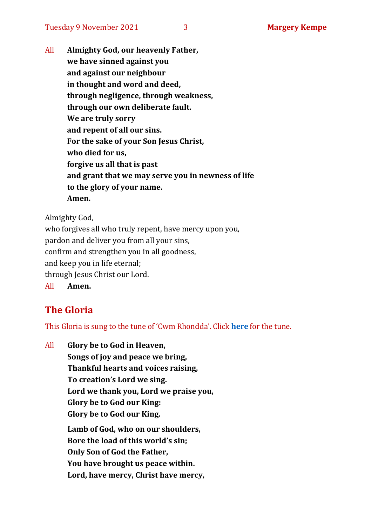All **Almighty God, our heavenly Father, we have sinned against you and against our neighbour in thought and word and deed, through negligence, through weakness, through our own deliberate fault. We are truly sorry and repent of all our sins. For the sake of your Son Jesus Christ, who died for us, forgive us all that is past and grant that we may serve you in newness of life to the glory of your name. Amen.**

Almighty God,

who forgives all who truly repent, have mercy upon you, pardon and deliver you from all your sins, confirm and strengthen you in all goodness, and keep you in life eternal; through Jesus Christ our Lord. All **Amen.**

#### **The Gloria**

This Gloria is sung to the tune of 'Cwm Rhondda'. Click **[here](https://www.youtube.com/watch?v=l71MLQ22dIk)** for the tune.

All **Glory be to God in Heaven, Songs of joy and peace we bring, Thankful hearts and voices raising, To creation's Lord we sing. Lord we thank you, Lord we praise you, Glory be to God our King: Glory be to God our King. Lamb of God, who on our shoulders, Bore the load of this world's sin; Only Son of God the Father, You have brought us peace within. Lord, have mercy, Christ have mercy,**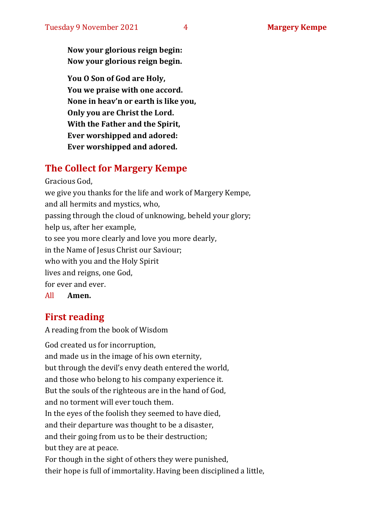**Now your glorious reign begin: Now your glorious reign begin.**

**You O Son of God are Holy, You we praise with one accord. None in heav'n or earth is like you, Only you are Christ the Lord. With the Father and the Spirit, Ever worshipped and adored: Ever worshipped and adored.**

#### **The Collect for Margery Kempe**

Gracious God, we give you thanks for the life and work of Margery Kempe, and all hermits and mystics, who, passing through the cloud of unknowing, beheld your glory; help us, after her example, to see you more clearly and love you more dearly, in the Name of Jesus Christ our Saviour; who with you and the Holy Spirit lives and reigns, one God, for ever and ever. All **Amen.**

#### **First reading**

A reading from the book of Wisdom

God created us for incorruption, and made us in the image of his own eternity, but through the devil's envy death entered the world, and those who belong to his company experience it. But the souls of the righteous are in the hand of God, and no torment will ever touch them. In the eyes of the foolish they seemed to have died, and their departure was thought to be a disaster, and their going from us to be their destruction; but they are at peace. For though in the sight of others they were punished, their hope is full of immortality.Having been disciplined a little,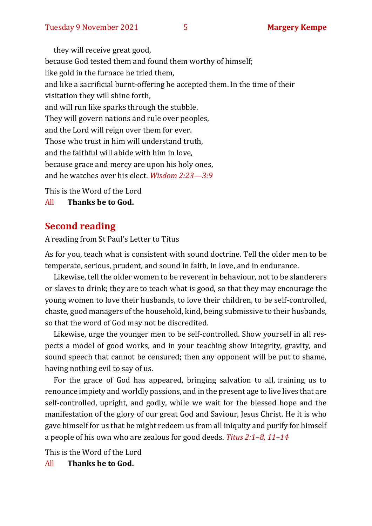they will receive great good, because God tested them and found them worthy of himself; like gold in the furnace he tried them, and like a sacrificial burnt-offering he accepted them.In the time of their visitation they will shine forth, and will run like sparks through the stubble. They will govern nations and rule over peoples, and the Lord will reign over them for ever. Those who trust in him will understand truth, and the faithful will abide with him in love, because grace and mercy are upon his holy ones, and he watches over his elect. *Wisdom 2:23—3:9*

This is the Word of the Lord

All **Thanks be to God.**

#### **Second reading**

A reading from St Paul's Letter to Titus

As for you, teach what is consistent with sound doctrine. Tell the older men to be temperate, serious, prudent, and sound in faith, in love, and in endurance.

Likewise, tell the older women to be reverent in behaviour, not to be slanderers or slaves to drink; they are to teach what is good, so that they may encourage the young women to love their husbands, to love their children, to be self-controlled, chaste, good managers of the household, kind, being submissive to their husbands, so that the word of God may not be discredited.

Likewise, urge the younger men to be self-controlled. Show yourself in all respects a model of good works, and in your teaching show integrity, gravity, and sound speech that cannot be censured; then any opponent will be put to shame, having nothing evil to say of us.

For the grace of God has appeared, bringing salvation to all, training us to renounce impiety and worldly passions, and in the present age to live lives that are self-controlled, upright, and godly, while we wait for the blessed hope and the manifestation of the glory of our great God and Saviour, Jesus Christ. He it is who gave himself for us that he might redeem us from all iniquity and purify for himself a people of his own who are zealous for good deeds. *Titus 2:1–8, 11–14*

This is the Word of the Lord

All **Thanks be to God.**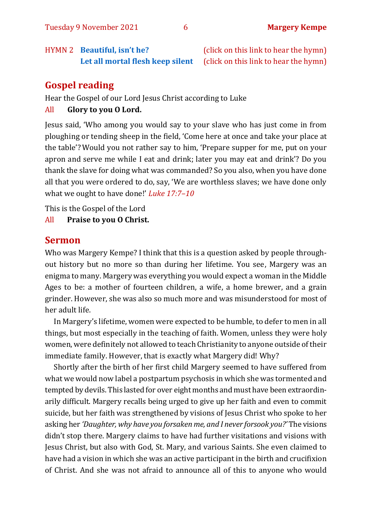HYMN 2 **Beautiful, isn't he?** (click on this link to hear the hymn)

## [Let all mortal flesh](https://www.youtube.com/watch?v=X0COhHYlymI) [keep silent](https://www.youtube.com/watch?v=e2MwVZyHJdo) (click on this link to hear the hymn)

#### **Gospel reading**

Hear the Gospel of our Lord Jesus Christ according to Luke

#### All **Glory to you O Lord.**

Jesus said, 'Who among you would say to your slave who has just come in from ploughing or tending sheep in the field, 'Come here at once and take your place at the table'? Would you not rather say to him, 'Prepare supper for me, put on your apron and serve me while I eat and drink; later you may eat and drink'? Do you thank the slave for doing what was commanded? So you also, when you have done all that you were ordered to do, say, 'We are worthless slaves; we have done only what we ought to have done!' *Luke 17:7–10*

This is the Gospel of the Lord

All **Praise to you O Christ.** 

#### **Sermon**

Who was Margery Kempe? I think that this is a question asked by people throughout history but no more so than during her lifetime. You see, Margery was an enigma to many. Margery was everything you would expect a woman in the Middle Ages to be: a mother of fourteen children, a wife, a home brewer, and a grain grinder. However, she was also so much more and was misunderstood for most of her adult life.

In Margery's lifetime, women were expected to be humble, to defer to men in all things, but most especially in the teaching of faith. Women, unless they were holy women, were definitely not allowed to teach Christianity to anyone outside of their immediate family. However, that is exactly what Margery did! Why?

Shortly after the birth of her first child Margery seemed to have suffered from what we would now label a postpartum psychosis in which she was tormented and tempted by devils. This lasted for over eight months and must have been extraordinarily difficult. Margery recalls being urged to give up her faith and even to commit suicide, but her faith was strengthened by visions of Jesus Christ who spoke to her asking her *'Daughter, why have you forsaken me, and I never forsook you?'* The visions didn't stop there. Margery claims to have had further visitations and visions with Jesus Christ, but also with God, St. Mary, and various Saints. She even claimed to have had a vision in which she was an active participant in the birth and crucifixion of Christ. And she was not afraid to announce all of this to anyone who would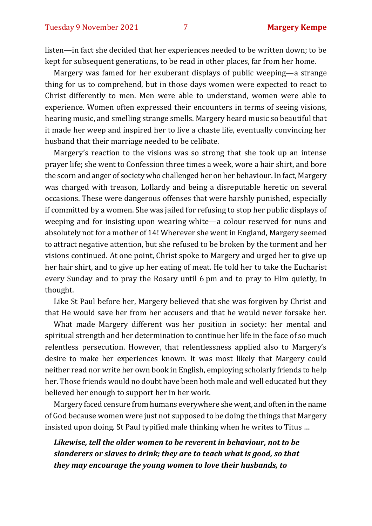listen—in fact she decided that her experiences needed to be written down; to be kept for subsequent generations, to be read in other places, far from her home.

Margery was famed for her exuberant displays of public weeping—a strange thing for us to comprehend, but in those days women were expected to react to Christ differently to men. Men were able to understand, women were able to experience. Women often expressed their encounters in terms of seeing visions, hearing music, and smelling strange smells. Margery heard music so beautiful that it made her weep and inspired her to live a chaste life, eventually convincing her husband that their marriage needed to be celibate.

Margery's reaction to the visions was so strong that she took up an intense prayer life; she went to Confession three times a week, wore a hair shirt, and bore the scorn and anger of society who challenged her on her behaviour. In fact, Margery was charged with treason, Lollardy and being a disreputable heretic on several occasions. These were dangerous offenses that were harshly punished, especially if committed by a women. She was jailed for refusing to stop her public displays of weeping and for insisting upon wearing white—a colour reserved for nuns and absolutely not for a mother of 14! Wherever she went in England, Margery seemed to attract negative attention, but she refused to be broken by the torment and her visions continued. At one point, Christ spoke to Margery and urged her to give up her hair shirt, and to give up her eating of meat. He told her to take the Eucharist every Sunday and to pray the Rosary until 6 pm and to pray to Him quietly, in thought.

Like St Paul before her, Margery believed that she was forgiven by Christ and that He would save her from her accusers and that he would never forsake her.

What made Margery different was her position in society: her mental and spiritual strength and her determination to continue her life in the face of so much relentless persecution. However, that relentlessness applied also to Margery's desire to make her experiences known. It was most likely that Margery could neither read nor write her own book in English, employing scholarly friends to help her. Those friends would no doubt have been both male and well educated but they believed her enough to support her in her work.

Margery faced censure from humans everywhere she went, and often in the name of God because women were just not supposed to be doing the things that Margery insisted upon doing. St Paul typified male thinking when he writes to Titus …

*Likewise, tell the older women to be reverent in behaviour, not to be slanderers or slaves to drink; they are to teach what is good, so that they may encourage the young women to love their husbands, to*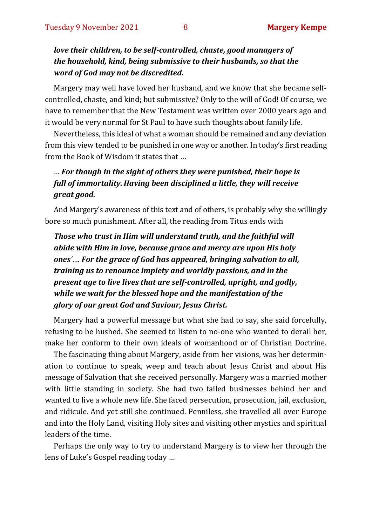#### *love their children, to be self-controlled, chaste, good managers of the household, kind, being submissive to their husbands, so that the word of God may not be discredited.*

Margery may well have loved her husband, and we know that she became selfcontrolled, chaste, and kind; but submissive? Only to the will of God! Of course, we have to remember that the New Testament was written over 2000 years ago and it would be very normal for St Paul to have such thoughts about family life.

Nevertheless, this ideal of what a woman should be remained and any deviation from this view tended to be punished in one way or another. In today's first reading from the Book of Wisdom it states that …

#### *… For though in the sight of others they were punished, their hope is full of immortality.Having been disciplined a little, they will receive great good.*

And Margery's awareness of this text and of others, is probably why she willingly bore so much punishment. After all, the reading from Titus ends with

*Those who trust in Him will understand truth, and the faithful will abide with Him in love, because grace and mercy are upon His holy ones'…. For the grace of God has appeared, bringing salvation to all, training us to renounce impiety and worldly passions, and in the present age to live lives that are self-controlled, upright, and godly, while we wait for the blessed hope and the manifestation of the glory of our great God and Saviour, Jesus Christ.*

Margery had a powerful message but what she had to say, she said forcefully, refusing to be hushed. She seemed to listen to no-one who wanted to derail her, make her conform to their own ideals of womanhood or of Christian Doctrine.

The fascinating thing about Margery, aside from her visions, was her determination to continue to speak, weep and teach about Jesus Christ and about His message of Salvation that she received personally. Margery was a married mother with little standing in society. She had two failed businesses behind her and wanted to live a whole new life. She faced persecution, prosecution, jail, exclusion, and ridicule. And yet still she continued. Penniless, she travelled all over Europe and into the Holy Land, visiting Holy sites and visiting other mystics and spiritual leaders of the time.

Perhaps the only way to try to understand Margery is to view her through the lens of Luke's Gospel reading today …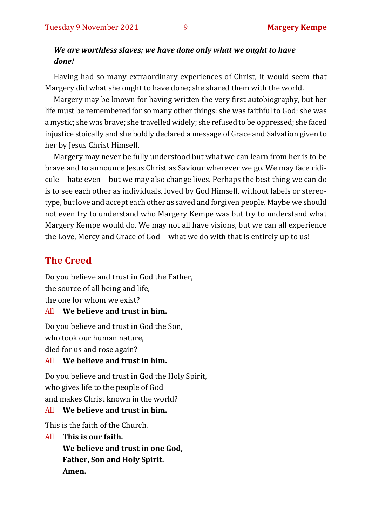#### *We are worthless slaves; we have done only what we ought to have done!*

Having had so many extraordinary experiences of Christ, it would seem that Margery did what she ought to have done; she shared them with the world.

Margery may be known for having written the very first autobiography, but her life must be remembered for so many other things: she was faithful to God; she was a mystic; she was brave; she travelled widely; she refused to be oppressed; she faced injustice stoically and she boldly declared a message of Grace and Salvation given to her by Jesus Christ Himself.

Margery may never be fully understood but what we can learn from her is to be brave and to announce Jesus Christ as Saviour wherever we go. We may face ridicule—hate even—but we may also change lives. Perhaps the best thing we can do is to see each other as individuals, loved by God Himself, without labels or stereotype, but love and accept each other as saved and forgiven people. Maybe we should not even try to understand who Margery Kempe was but try to understand what Margery Kempe would do. We may not all have visions, but we can all experience the Love, Mercy and Grace of God—what we do with that is entirely up to us!

#### **The Creed**

Do you believe and trust in God the Father, the source of all being and life, the one for whom we exist?

#### All **We believe and trust in him.**

Do you believe and trust in God the Son, who took our human nature, died for us and rose again?

#### All **We believe and trust in him.**

Do you believe and trust in God the Holy Spirit, who gives life to the people of God and makes Christ known in the world?

#### All **We believe and trust in him.**

This is the faith of the Church.

#### All **This is our faith.**

**We believe and trust in one God, Father, Son and Holy Spirit. Amen.**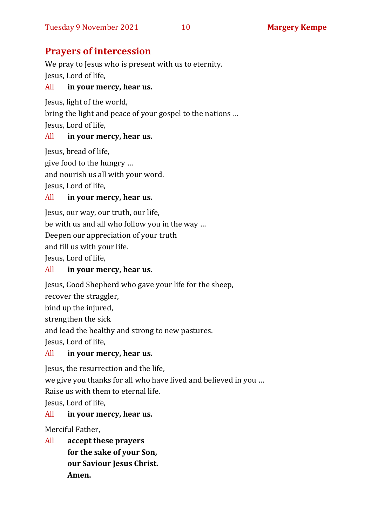#### **Prayers of intercession**

We pray to Jesus who is present with us to eternity. Jesus, Lord of life,

#### All **in your mercy, hear us.**

Jesus, light of the world,

bring the light and peace of your gospel to the nations …

Jesus, Lord of life,

#### All **in your mercy, hear us.**

Jesus, bread of life,

give food to the hungry …

and nourish us all with your word.

Jesus, Lord of life,

#### All **in your mercy, hear us.**

Jesus, our way, our truth, our life, be with us and all who follow you in the way … Deepen our appreciation of your truth and fill us with your life. Jesus, Lord of life,

#### All **in your mercy, hear us.**

Jesus, Good Shepherd who gave your life for the sheep,

recover the straggler,

bind up the injured,

strengthen the sick

and lead the healthy and strong to new pastures.

Jesus, Lord of life,

#### All **in your mercy, hear us.**

Jesus, the resurrection and the life,

we give you thanks for all who have lived and believed in you … Raise us with them to eternal life.

Jesus, Lord of life,

#### All **in your mercy, hear us.**

Merciful Father,

All **accept these prayers for the sake of your Son, our Saviour Jesus Christ. Amen.**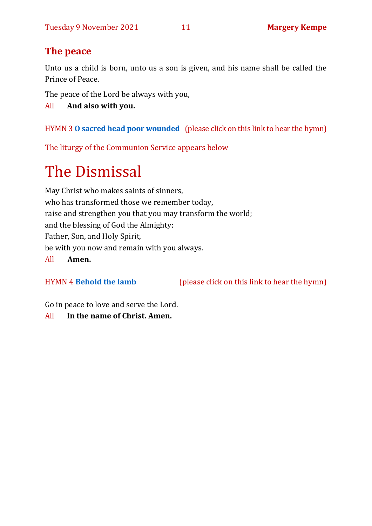### **The peace**

Unto us a child is born, unto us a son is given, and his name shall be called the Prince of Peace.

The peace of the Lord be always with you,

All **And also with you.**

HYMN 3 **[O sacred head poor wounded](https://www.youtube.com/watch?v=R_OBbjAfVrI)** (please click on this link to hear the hymn)

The liturgy of the Communion Service appears below

## The Dismissal

May Christ who makes saints of sinners, who has transformed those we remember today, raise and strengthen you that you may transform the world; and the blessing of God the Almighty: Father, Son, and Holy Spirit, be with you now and remain with you always. All **Amen.**

HYMN 4 **[Behold the lamb](https://www.youtube.com/watch?v=ACHPwx7EGQA)** (please click on this link to hear the hymn)

Go in peace to love and serve the Lord.

All **In the name of Christ. Amen.**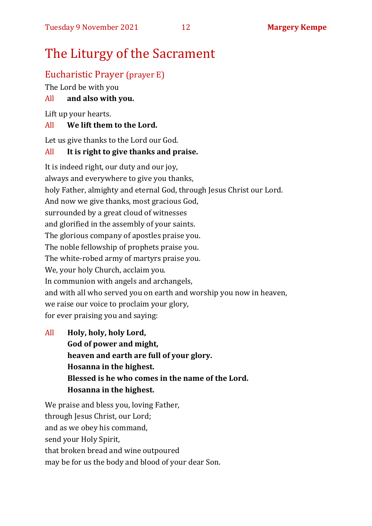### The Liturgy of the Sacrament

#### Eucharistic Prayer (prayer E)

The Lord be with you

#### All **and also with you.**

Lift up your hearts.

#### All **We lift them to the Lord.**

Let us give thanks to the Lord our God.

#### All **It is right to give thanks and praise.**

It is indeed right, our duty and our joy, always and everywhere to give you thanks, holy Father, almighty and eternal God, through Jesus Christ our Lord. And now we give thanks, most gracious God, surrounded by a great cloud of witnesses and glorified in the assembly of your saints. The glorious company of apostles praise you. The noble fellowship of prophets praise you. The white-robed army of martyrs praise you. We, your holy Church, acclaim you. In communion with angels and archangels, and with all who served you on earth and worship you now in heaven, we raise our voice to proclaim your glory, for ever praising you and saying:

All **Holy, holy, holy Lord, God of power and might, heaven and earth are full of your glory. Hosanna in the highest. Blessed is he who comes in the name of the Lord. Hosanna in the highest.**

We praise and bless you, loving Father, through Jesus Christ, our Lord; and as we obey his command, send your Holy Spirit, that broken bread and wine outpoured may be for us the body and blood of your dear Son.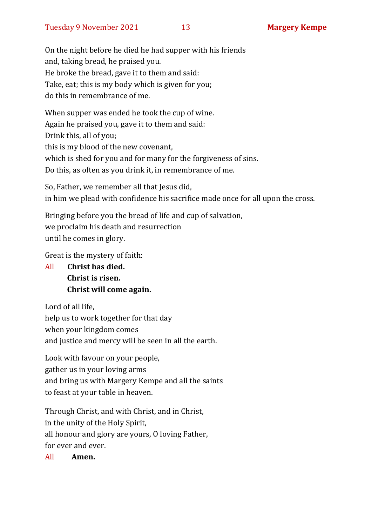On the night before he died he had supper with his friends and, taking bread, he praised you. He broke the bread, gave it to them and said: Take, eat; this is my body which is given for you; do this in remembrance of me.

When supper was ended he took the cup of wine. Again he praised you, gave it to them and said: Drink this, all of you; this is my blood of the new covenant, which is shed for you and for many for the forgiveness of sins. Do this, as often as you drink it, in remembrance of me.

So, Father, we remember all that Jesus did, in him we plead with confidence his sacrifice made once for all upon the cross.

Bringing before you the bread of life and cup of salvation, we proclaim his death and resurrection until he comes in glory.

Great is the mystery of faith:

All **Christ has died. Christ is risen. Christ will come again.**

Lord of all life, help us to work together for that day when your kingdom comes and justice and mercy will be seen in all the earth.

Look with favour on your people, gather us in your loving arms and bring us with Margery Kempe and all the saints to feast at your table in heaven.

Through Christ, and with Christ, and in Christ, in the unity of the Holy Spirit, all honour and glory are yours, O loving Father, for ever and ever.

All **Amen.**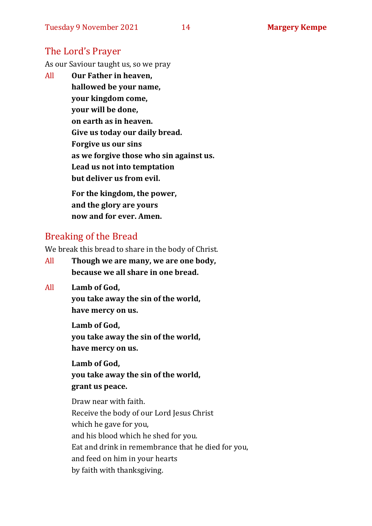#### The Lord's Prayer

As our Saviour taught us, so we pray

All **Our Father in heaven, hallowed be your name, your kingdom come, your will be done, on earth as in heaven. Give us today our daily bread. Forgive us our sins as we forgive those who sin against us. Lead us not into temptation but deliver us from evil. For the kingdom, the power,** 

**and the glory are yours now and for ever. Amen.**

#### Breaking of the Bread

We break this bread to share in the body of Christ.

- All **Though we are many, we are one body, because we all share in one bread.**
- All **Lamb of God,**

**you take away the sin of the world, have mercy on us.**

**Lamb of God, you take away the sin of the world, have mercy on us.**

**Lamb of God, you take away the sin of the world, grant us peace.**

Draw near with faith. Receive the body of our Lord Jesus Christ which he gave for you, and his blood which he shed for you. Eat and drink in remembrance that he died for you, and feed on him in your hearts by faith with thanksgiving.